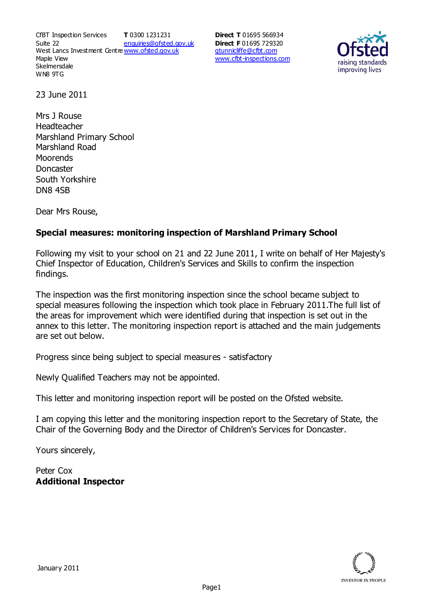CfBT Inspection Services Suite 22 West Lancs Investment Centre<u>www.ofsted.gov.uk</u> Maple View **Skelmersdale** WN8 9TG **T** 0300 1231231 enquiries@ofsted.gov.uk

**Direct T** 01695 566934 **Direct F** 01695 729320 gtunnicliffe@cfbt.com www.cfbt-inspections.com



23 June 2011

Mrs J Rouse Headteacher Marshland Primary School Marshland Road **Moorends Doncaster** South Yorkshire DN8 4SB

Dear Mrs Rouse,

# **Special measures: monitoring inspection of Marshland Primary School**

Following my visit to your school on 21 and 22 June 2011, I write on behalf of Her Majesty's Chief Inspector of Education, Children's Services and Skills to confirm the inspection findings.

The inspection was the first monitoring inspection since the school became subject to special measures following the inspection which took place in February 2011.The full list of the areas for improvement which were identified during that inspection is set out in the annex to this letter. The monitoring inspection report is attached and the main judgements are set out below.

Progress since being subject to special measures - satisfactory

Newly Qualified Teachers may not be appointed.

This letter and monitoring inspection report will be posted on the Ofsted website.

I am copying this letter and the monitoring inspection report to the Secretary of State, the Chair of the Governing Body and the Director of Children's Services for Doncaster.

Yours sincerely,

Peter Cox **Additional Inspector**

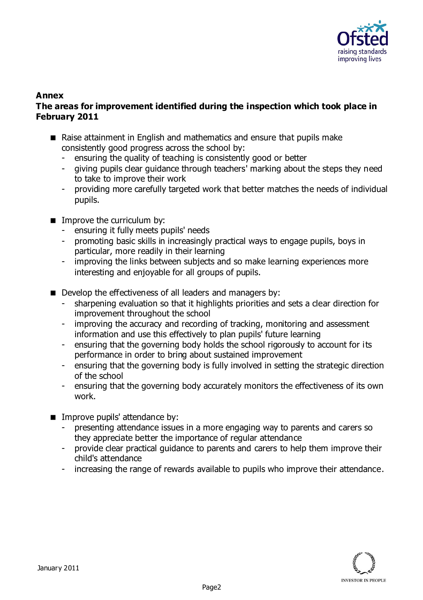

#### **Annex The areas for improvement identified during the inspection which took place in February 2011**

- Raise attainment in English and mathematics and ensure that pupils make consistently good progress across the school by:
	- ensuring the quality of teaching is consistently good or better
	- giving pupils clear guidance through teachers' marking about the steps they need to take to improve their work
	- providing more carefully targeted work that better matches the needs of individual pupils.
- **IMPROVE the curriculum by:** 
	- ensuring it fully meets pupils' needs
	- promoting basic skills in increasingly practical ways to engage pupils, boys in particular, more readily in their learning
	- improving the links between subjects and so make learning experiences more interesting and enjoyable for all groups of pupils.
- Develop the effectiveness of all leaders and managers by:
	- sharpening evaluation so that it highlights priorities and sets a clear direction for improvement throughout the school
	- improving the accuracy and recording of tracking, monitoring and assessment information and use this effectively to plan pupils' future learning
	- ensuring that the governing body holds the school rigorously to account for its performance in order to bring about sustained improvement
	- ensuring that the governing body is fully involved in setting the strategic direction of the school
	- ensuring that the governing body accurately monitors the effectiveness of its own work.
- **IMPROVE pupils' attendance by:** 
	- presenting attendance issues in a more engaging way to parents and carers so they appreciate better the importance of regular attendance
	- provide clear practical guidance to parents and carers to help them improve their child's attendance
	- increasing the range of rewards available to pupils who improve their attendance.

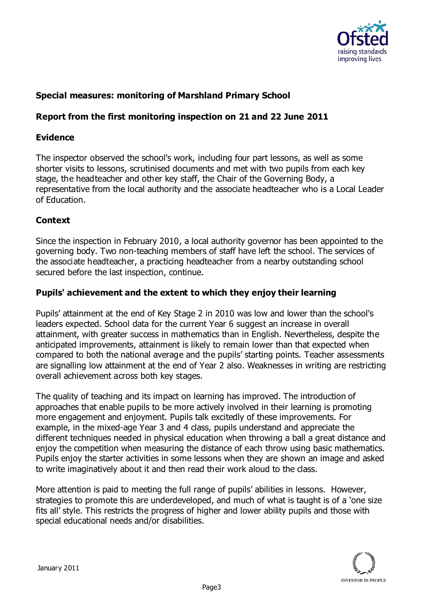

# **Special measures: monitoring of Marshland Primary School**

### **Report from the first monitoring inspection on 21 and 22 June 2011**

### **Evidence**

The inspector observed the school's work, including four part lessons, as well as some shorter visits to lessons, scrutinised documents and met with two pupils from each key stage, the headteacher and other key staff, the Chair of the Governing Body, a representative from the local authority and the associate headteacher who is a Local Leader of Education.

# **Context**

Since the inspection in February 2010, a local authority governor has been appointed to the governing body. Two non-teaching members of staff have left the school. The services of the associate headteacher, a practicing headteacher from a nearby outstanding school secured before the last inspection, continue.

### **Pupils' achievement and the extent to which they enjoy their learning**

Pupils' attainment at the end of Key Stage 2 in 2010 was low and lower than the school's leaders expected. School data for the current Year 6 suggest an increase in overall attainment, with greater success in mathematics than in English. Nevertheless, despite the anticipated improvements, attainment is likely to remain lower than that expected when compared to both the national average and the pupils' starting points. Teacher assessments are signalling low attainment at the end of Year 2 also. Weaknesses in writing are restricting overall achievement across both key stages.

The quality of teaching and its impact on learning has improved. The introduction of approaches that enable pupils to be more actively involved in their learning is promoting more engagement and enjoyment. Pupils talk excitedly of these improvements. For example, in the mixed-age Year 3 and 4 class, pupils understand and appreciate the different techniques needed in physical education when throwing a ball a great distance and enjoy the competition when measuring the distance of each throw using basic mathematics. Pupils enjoy the starter activities in some lessons when they are shown an image and asked to write imaginatively about it and then read their work aloud to the class.

More attention is paid to meeting the full range of pupils' abilities in lessons. However, strategies to promote this are underdeveloped, and much of what is taught is of a 'one size fits all' style. This restricts the progress of higher and lower ability pupils and those with special educational needs and/or disabilities.

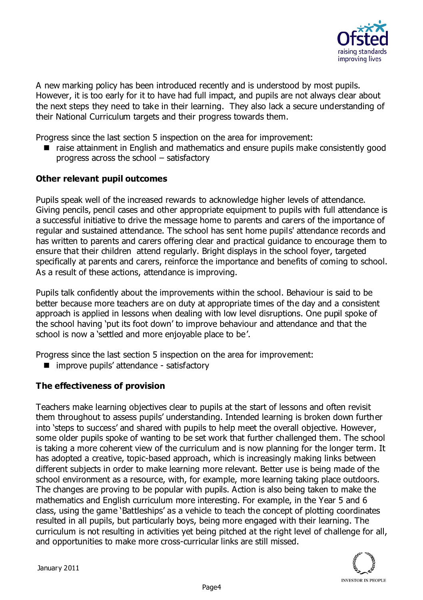

A new marking policy has been introduced recently and is understood by most pupils. However, it is too early for it to have had full impact, and pupils are not always clear about the next steps they need to take in their learning. They also lack a secure understanding of their National Curriculum targets and their progress towards them.

Progress since the last section 5 inspection on the area for improvement:

■ raise attainment in English and mathematics and ensure pupils make consistently good progress across the school – satisfactory

#### **Other relevant pupil outcomes**

Pupils speak well of the increased rewards to acknowledge higher levels of attendance. Giving pencils, pencil cases and other appropriate equipment to pupils with full attendance is a successful initiative to drive the message home to parents and carers of the importance of regular and sustained attendance. The school has sent home pupils' attendance records and has written to parents and carers offering clear and practical guidance to encourage them to ensure that their children attend regularly. Bright displays in the school foyer, targeted specifically at parents and carers, reinforce the importance and benefits of coming to school. As a result of these actions, attendance is improving.

Pupils talk confidently about the improvements within the school. Behaviour is said to be better because more teachers are on duty at appropriate times of the day and a consistent approach is applied in lessons when dealing with low level disruptions. One pupil spoke of the school having 'put its foot down' to improve behaviour and attendance and that the school is now a 'settled and more enjoyable place to be'.

Progress since the last section 5 inspection on the area for improvement:

■ improve pupils' attendance - satisfactory

### **The effectiveness of provision**

Teachers make learning objectives clear to pupils at the start of lessons and often revisit them throughout to assess pupils' understanding. Intended learning is broken down further into 'steps to success' and shared with pupils to help meet the overall objective. However, some older pupils spoke of wanting to be set work that further challenged them. The school is taking a more coherent view of the curriculum and is now planning for the longer term. It has adopted a creative, topic-based approach, which is increasingly making links between different subjects in order to make learning more relevant. Better use is being made of the school environment as a resource, with, for example, more learning taking place outdoors. The changes are proving to be popular with pupils. Action is also being taken to make the mathematics and English curriculum more interesting. For example, in the Year 5 and 6 class, using the game 'Battleships' as a vehicle to teach the concept of plotting coordinates resulted in all pupils, but particularly boys, being more engaged with their learning. The curriculum is not resulting in activities yet being pitched at the right level of challenge for all, and opportunities to make more cross-curricular links are still missed.